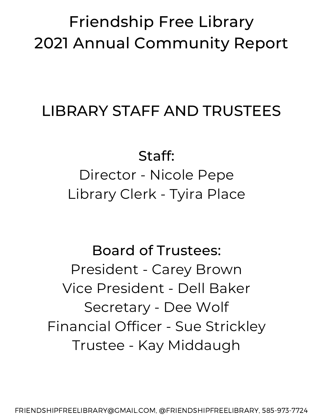## Friendship Free Library 2021 Annual Community Report

### LIBRARY STAFF AND TRUSTEES

Staff: Director - Nicole Pepe Library Clerk - Tyira Place

Board of Trustees: President - Carey Brown Vice President - Dell Baker Secretary - Dee Wolf Financial Officer - Sue Strickley Trustee - Kay Middaugh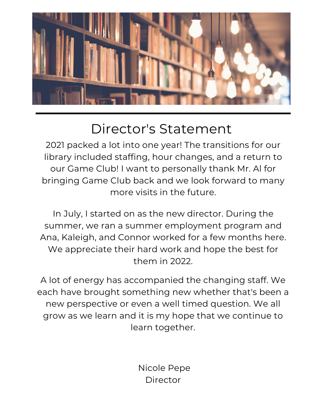

#### Director's Statement

2021 packed a lot into one year! The transitions for our library included staffing, hour changes, and a return to our Game Club! I want to personally thank Mr. Al for bringing Game Club back and we look forward to many more visits in the future.

In July, I started on as the new director. During the summer, we ran a summer employment program and Ana, Kaleigh, and Connor worked for a few months here. We appreciate their hard work and hope the best for them in 2022.

A lot of energy has accompanied the changing staff. We each have brought something new whether that's been a new perspective or even a well timed question. We all grow as we learn and it is my hope that we continue to learn together.

> Nicole Pepe Director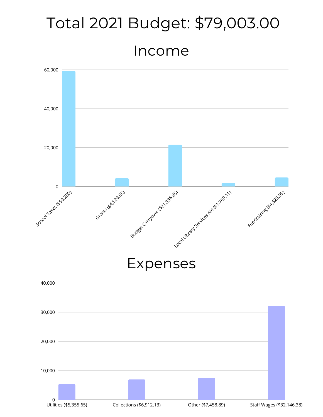# Income Total 2021 Budget: \$79,003.00